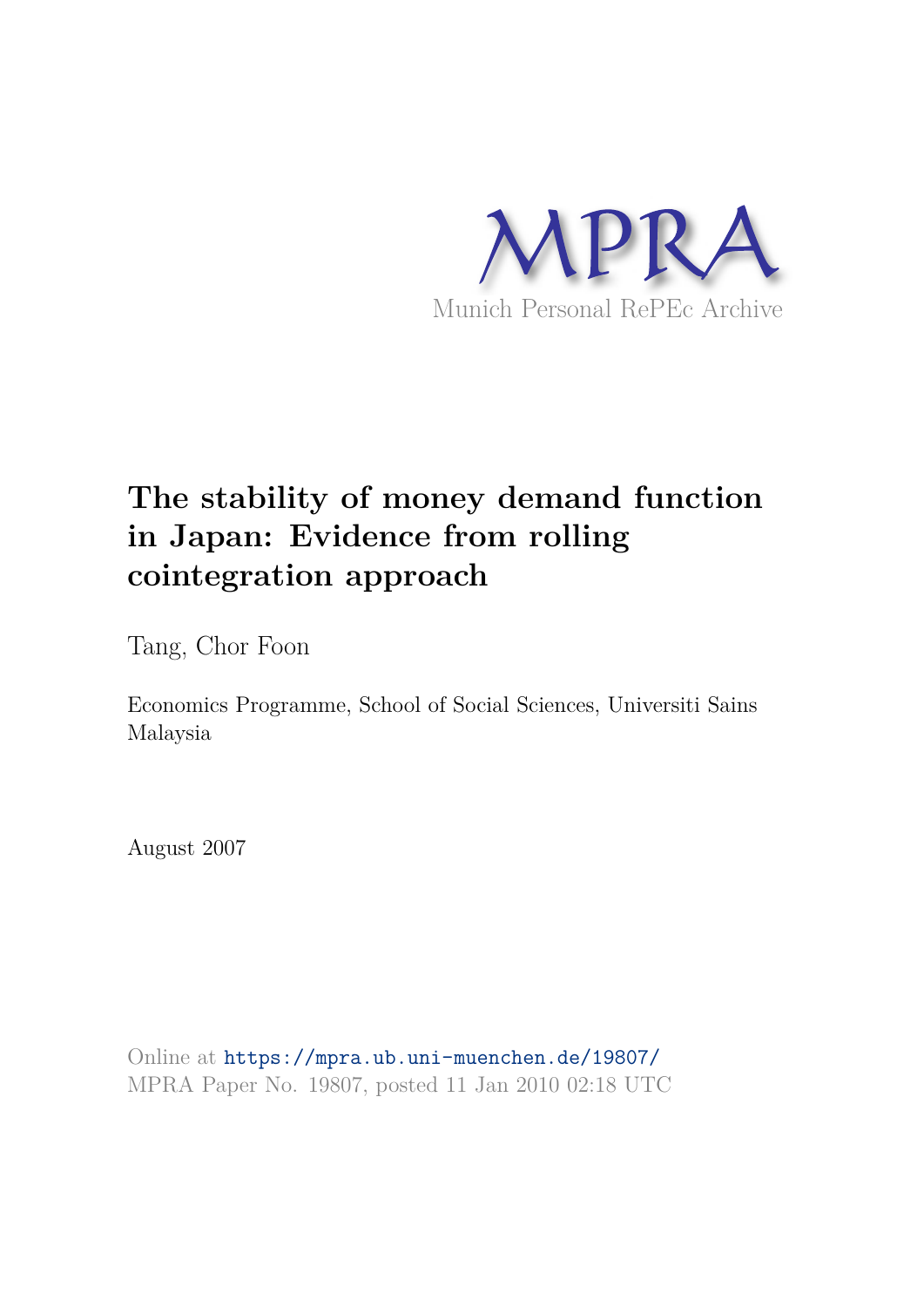

# **The stability of money demand function in Japan: Evidence from rolling cointegration approach**

Tang, Chor Foon

Economics Programme, School of Social Sciences, Universiti Sains Malaysia

August 2007

Online at https://mpra.ub.uni-muenchen.de/19807/ MPRA Paper No. 19807, posted 11 Jan 2010 02:18 UTC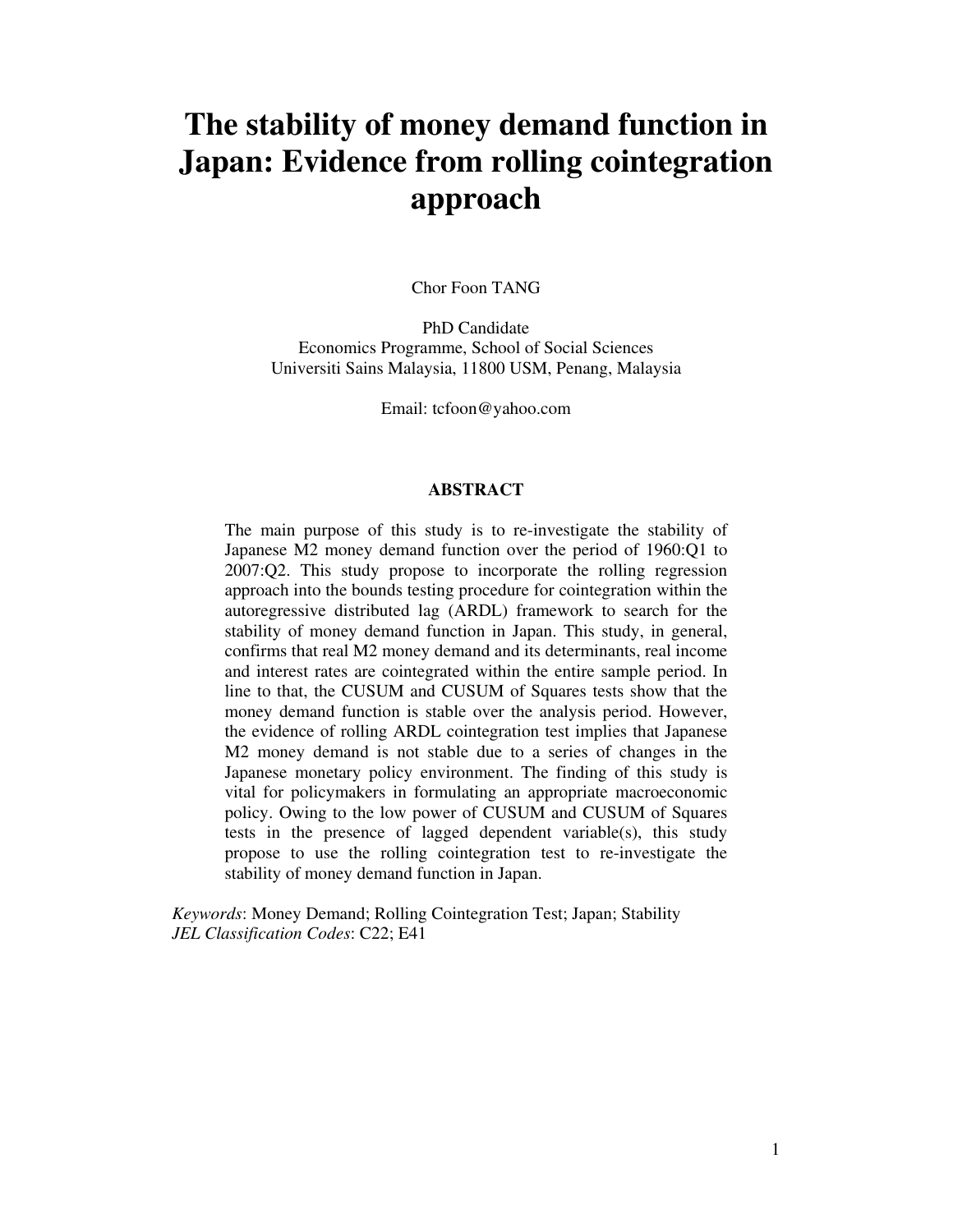# **The stability of money demand function in Japan: Evidence from rolling cointegration approach**

Chor Foon TANG

PhD Candidate Economics Programme, School of Social Sciences Universiti Sains Malaysia, 11800 USM, Penang, Malaysia

Email: tcfoon@yahoo.com

#### **ABSTRACT**

The main purpose of this study is to re-investigate the stability of Japanese M2 money demand function over the period of 1960:Q1 to 2007:Q2. This study propose to incorporate the rolling regression approach into the bounds testing procedure for cointegration within the autoregressive distributed lag (ARDL) framework to search for the stability of money demand function in Japan. This study, in general, confirms that real M2 money demand and its determinants, real income and interest rates are cointegrated within the entire sample period. In line to that, the CUSUM and CUSUM of Squares tests show that the money demand function is stable over the analysis period. However, the evidence of rolling ARDL cointegration test implies that Japanese M2 money demand is not stable due to a series of changes in the Japanese monetary policy environment. The finding of this study is vital for policymakers in formulating an appropriate macroeconomic policy. Owing to the low power of CUSUM and CUSUM of Squares tests in the presence of lagged dependent variable(s), this study propose to use the rolling cointegration test to re-investigate the stability of money demand function in Japan.

*Keywords*: Money Demand; Rolling Cointegration Test; Japan; Stability *JEL Classification Codes*: C22; E41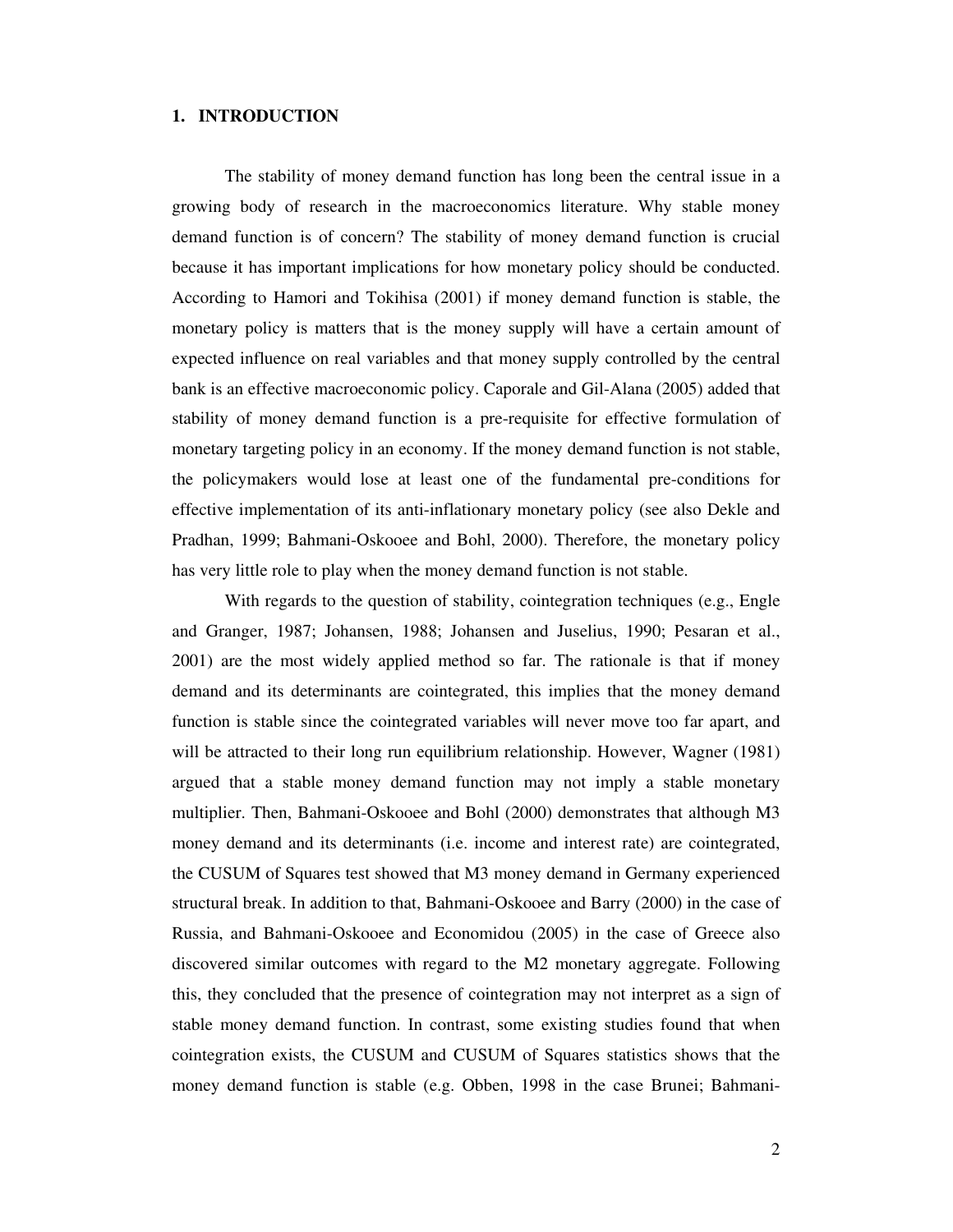## **1. INTRODUCTION**

The stability of money demand function has long been the central issue in a growing body of research in the macroeconomics literature. Why stable money demand function is of concern? The stability of money demand function is crucial because it has important implications for how monetary policy should be conducted. According to Hamori and Tokihisa (2001) if money demand function is stable, the monetary policy is matters that is the money supply will have a certain amount of expected influence on real variables and that money supply controlled by the central bank is an effective macroeconomic policy. Caporale and Gil-Alana (2005) added that stability of money demand function is a pre-requisite for effective formulation of monetary targeting policy in an economy. If the money demand function is not stable, the policymakers would lose at least one of the fundamental pre-conditions for effective implementation of its anti-inflationary monetary policy (see also Dekle and Pradhan, 1999; Bahmani-Oskooee and Bohl, 2000). Therefore, the monetary policy has very little role to play when the money demand function is not stable.

With regards to the question of stability, cointegration techniques (e.g., Engle and Granger, 1987; Johansen, 1988; Johansen and Juselius, 1990; Pesaran et al., 2001) are the most widely applied method so far. The rationale is that if money demand and its determinants are cointegrated, this implies that the money demand function is stable since the cointegrated variables will never move too far apart, and will be attracted to their long run equilibrium relationship. However, Wagner (1981) argued that a stable money demand function may not imply a stable monetary multiplier. Then, Bahmani-Oskooee and Bohl (2000) demonstrates that although M3 money demand and its determinants (i.e. income and interest rate) are cointegrated, the CUSUM of Squares test showed that M3 money demand in Germany experienced structural break. In addition to that, Bahmani-Oskooee and Barry (2000) in the case of Russia, and Bahmani-Oskooee and Economidou (2005) in the case of Greece also discovered similar outcomes with regard to the M2 monetary aggregate. Following this, they concluded that the presence of cointegration may not interpret as a sign of stable money demand function. In contrast, some existing studies found that when cointegration exists, the CUSUM and CUSUM of Squares statistics shows that the money demand function is stable (e.g. Obben, 1998 in the case Brunei; Bahmani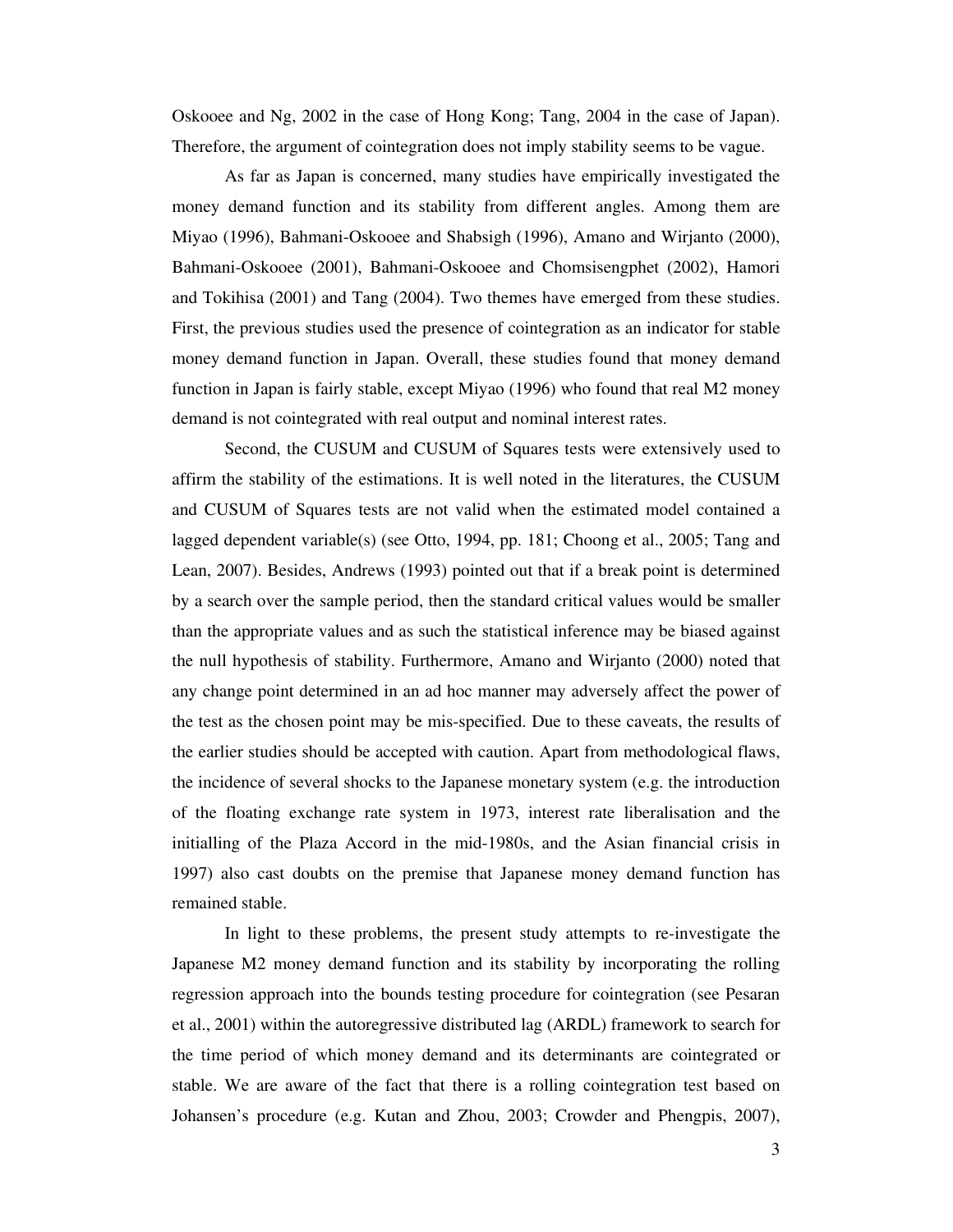Oskooee and Ng, 2002 in the case of Hong Kong; Tang, 2004 in the case of Japan). Therefore, the argument of cointegration does not imply stability seems to be vague.

As far as Japan is concerned, many studies have empirically investigated the money demand function and its stability from different angles. Among them are Miyao (1996), Bahmani-Oskooee and Shabsigh (1996), Amano and Wirjanto (2000), Bahmani-Oskooee (2001), Bahmani-Oskooee and Chomsisengphet (2002), Hamori and Tokihisa (2001) and Tang (2004). Two themes have emerged from these studies. First, the previous studies used the presence of cointegration as an indicator for stable money demand function in Japan. Overall, these studies found that money demand function in Japan is fairly stable, except Miyao (1996) who found that real M2 money demand is not cointegrated with real output and nominal interest rates.

Second, the CUSUM and CUSUM of Squares tests were extensively used to affirm the stability of the estimations. It is well noted in the literatures, the CUSUM and CUSUM of Squares tests are not valid when the estimated model contained a lagged dependent variable(s) (see Otto, 1994, pp. 181; Choong et al., 2005; Tang and Lean, 2007). Besides, Andrews (1993) pointed out that if a break point is determined by a search over the sample period, then the standard critical values would be smaller than the appropriate values and as such the statistical inference may be biased against the null hypothesis of stability. Furthermore, Amano and Wirjanto (2000) noted that any change point determined in an ad hoc manner may adversely affect the power of the test as the chosen point may be mis-specified. Due to these caveats, the results of the earlier studies should be accepted with caution. Apart from methodological flaws, the incidence of several shocks to the Japanese monetary system (e.g. the introduction of the floating exchange rate system in 1973, interest rate liberalisation and the initialling of the Plaza Accord in the mid-1980s, and the Asian financial crisis in 1997) also cast doubts on the premise that Japanese money demand function has remained stable.

In light to these problems, the present study attempts to re-investigate the Japanese M2 money demand function and its stability by incorporating the rolling regression approach into the bounds testing procedure for cointegration (see Pesaran et al., 2001) within the autoregressive distributed lag (ARDL) framework to search for the time period of which money demand and its determinants are cointegrated or stable. We are aware of the fact that there is a rolling cointegration test based on Johansen's procedure (e.g. Kutan and Zhou, 2003; Crowder and Phengpis, 2007),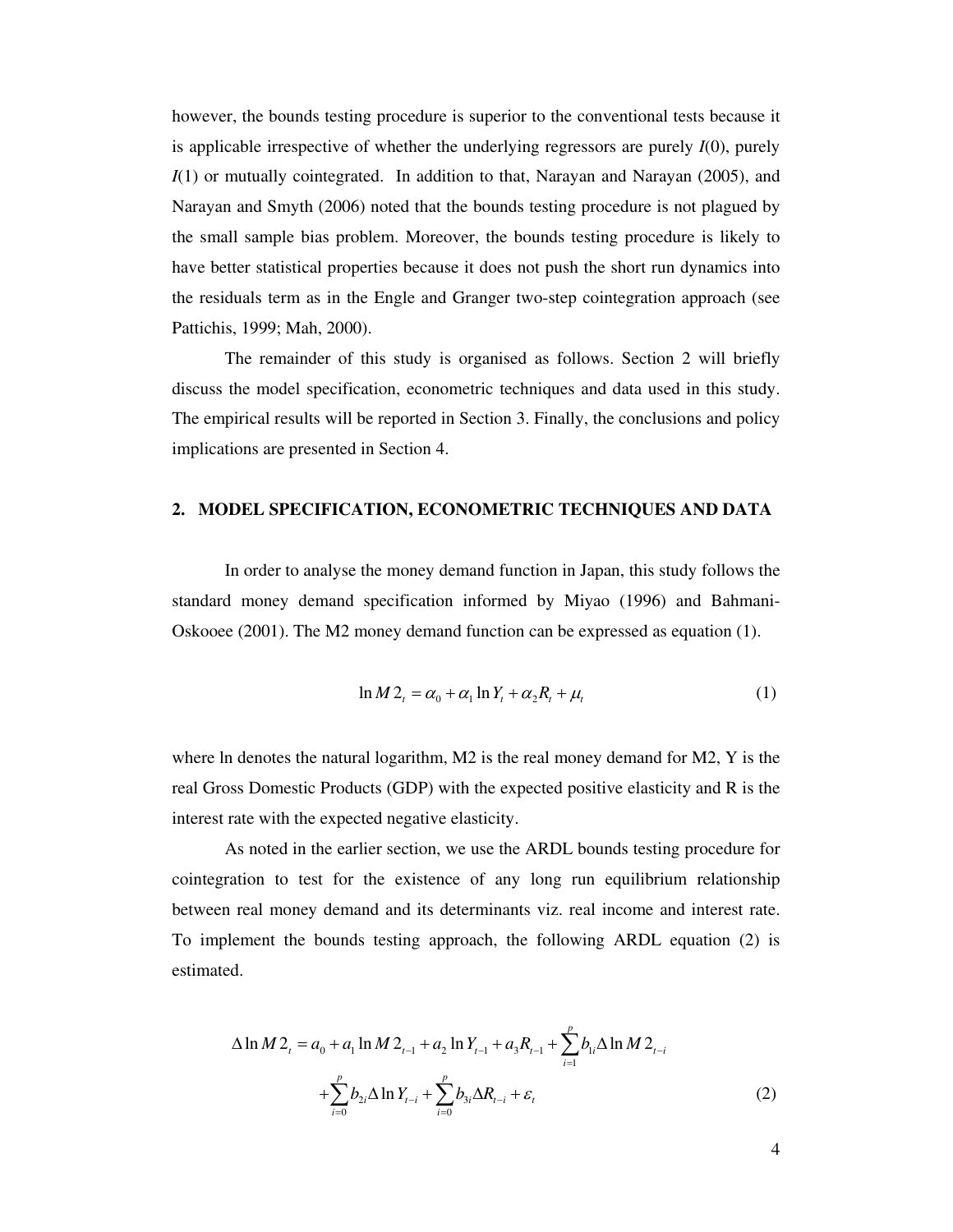however, the bounds testing procedure is superior to the conventional tests because it is applicable irrespective of whether the underlying regressors are purely *I*(0), purely *I*(1) or mutually cointegrated. In addition to that, Narayan and Narayan (2005), and Narayan and Smyth (2006) noted that the bounds testing procedure is not plagued by the small sample bias problem. Moreover, the bounds testing procedure is likely to have better statistical properties because it does not push the short run dynamics into the residuals term as in the Engle and Granger two-step cointegration approach (see Pattichis, 1999; Mah, 2000).

The remainder of this study is organised as follows. Section 2 will briefly discuss the model specification, econometric techniques and data used in this study. The empirical results will be reported in Section 3. Finally, the conclusions and policy implications are presented in Section 4.

#### **2. MODEL SPECIFICATION, ECONOMETRIC TECHNIQUES AND DATA**

 In order to analyse the money demand function in Japan, this study follows the standard money demand specification informed by Miyao (1996) and Bahmani-Oskooee (2001). The M2 money demand function can be expressed as equation (1).

$$
\ln M 2_t = \alpha_0 + \alpha_1 \ln Y_t + \alpha_2 R_t + \mu_t \tag{1}
$$

where ln denotes the natural logarithm, M2 is the real money demand for M2, Y is the real Gross Domestic Products (GDP) with the expected positive elasticity and R is the interest rate with the expected negative elasticity.

 As noted in the earlier section, we use the ARDL bounds testing procedure for cointegration to test for the existence of any long run equilibrium relationship between real money demand and its determinants viz. real income and interest rate. To implement the bounds testing approach, the following ARDL equation (2) is estimated.

$$
\Delta \ln M 2_{t} = a_{0} + a_{1} \ln M 2_{t-1} + a_{2} \ln Y_{t-1} + a_{3} R_{t-1} + \sum_{i=1}^{p} b_{i} \Delta \ln M 2_{t-i} + \sum_{i=0}^{p} b_{2i} \Delta \ln Y_{t-i} + \sum_{i=0}^{p} b_{3i} \Delta R_{t-i} + \varepsilon_{t}
$$
\n(2)

4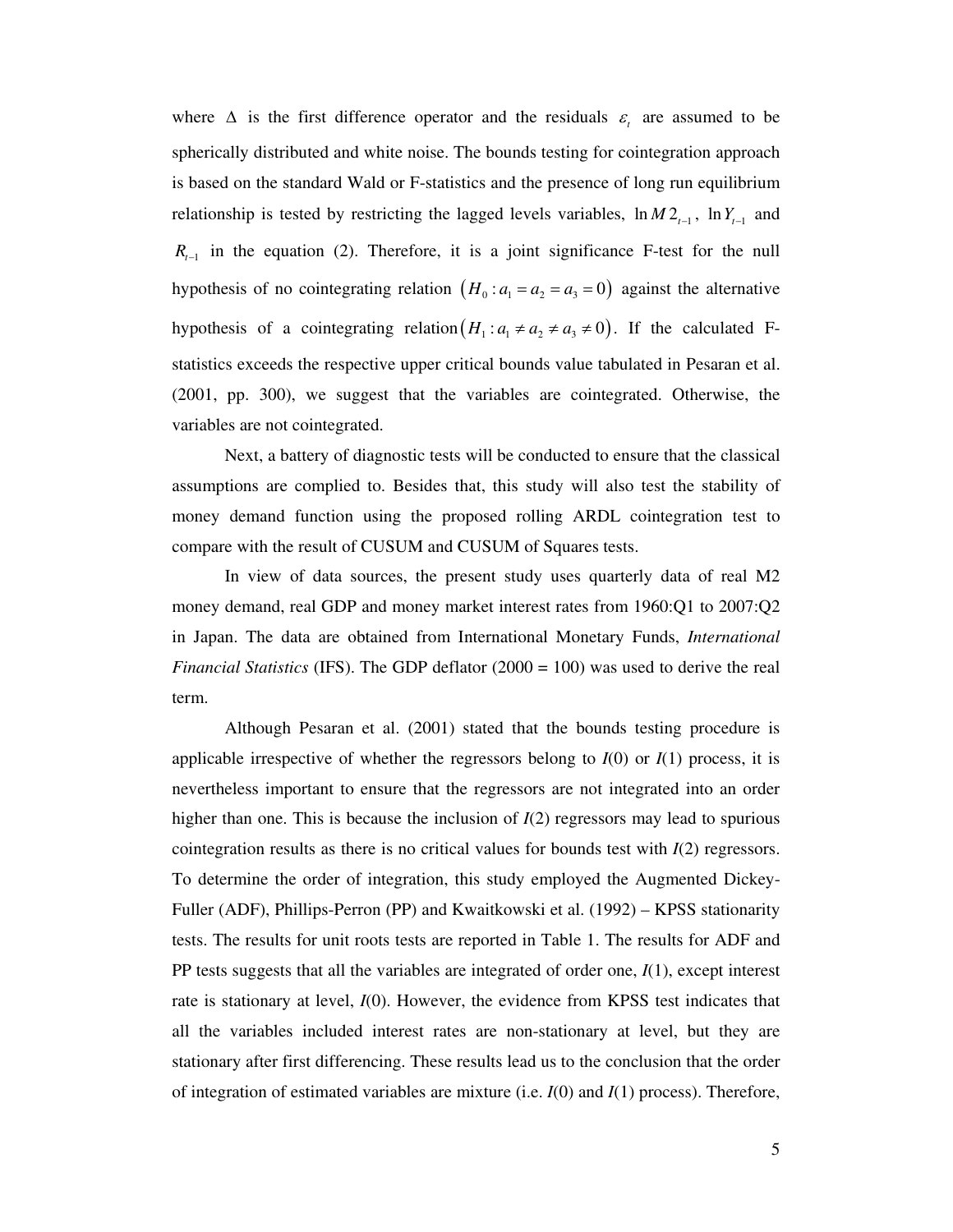where  $\Delta$  is the first difference operator and the residuals  $\varepsilon$  are assumed to be spherically distributed and white noise. The bounds testing for cointegration approach is based on the standard Wald or F-statistics and the presence of long run equilibrium relationship is tested by restricting the lagged levels variables,  $\ln M2_{t-1}$ ,  $\ln Y_{t-1}$  and  $R_{t-1}$  in the equation (2). Therefore, it is a joint significance F-test for the null hypothesis of no cointegrating relation  $(H_0: a_1 = a_2 = a_3 = 0)$  against the alternative hypothesis of a cointegrating relation  $(H_1: a_1 \neq a_2 \neq a_3 \neq 0)$ . If the calculated Fstatistics exceeds the respective upper critical bounds value tabulated in Pesaran et al. (2001, pp. 300), we suggest that the variables are cointegrated. Otherwise, the variables are not cointegrated.

 Next, a battery of diagnostic tests will be conducted to ensure that the classical assumptions are complied to. Besides that, this study will also test the stability of money demand function using the proposed rolling ARDL cointegration test to compare with the result of CUSUM and CUSUM of Squares tests.

 In view of data sources, the present study uses quarterly data of real M2 money demand, real GDP and money market interest rates from 1960:Q1 to 2007:Q2 in Japan. The data are obtained from International Monetary Funds, *International Financial Statistics* (IFS). The GDP deflator (2000 = 100) was used to derive the real term.

Although Pesaran et al. (2001) stated that the bounds testing procedure is applicable irrespective of whether the regressors belong to  $I(0)$  or  $I(1)$  process, it is nevertheless important to ensure that the regressors are not integrated into an order higher than one. This is because the inclusion of  $I(2)$  regressors may lead to spurious cointegration results as there is no critical values for bounds test with  $I(2)$  regressors. To determine the order of integration, this study employed the Augmented Dickey-Fuller (ADF), Phillips-Perron (PP) and Kwaitkowski et al. (1992) – KPSS stationarity tests. The results for unit roots tests are reported in Table 1. The results for ADF and PP tests suggests that all the variables are integrated of order one, *I*(1), except interest rate is stationary at level, *I*(0). However, the evidence from KPSS test indicates that all the variables included interest rates are non-stationary at level, but they are stationary after first differencing. These results lead us to the conclusion that the order of integration of estimated variables are mixture (i.e. *I*(0) and *I*(1) process). Therefore,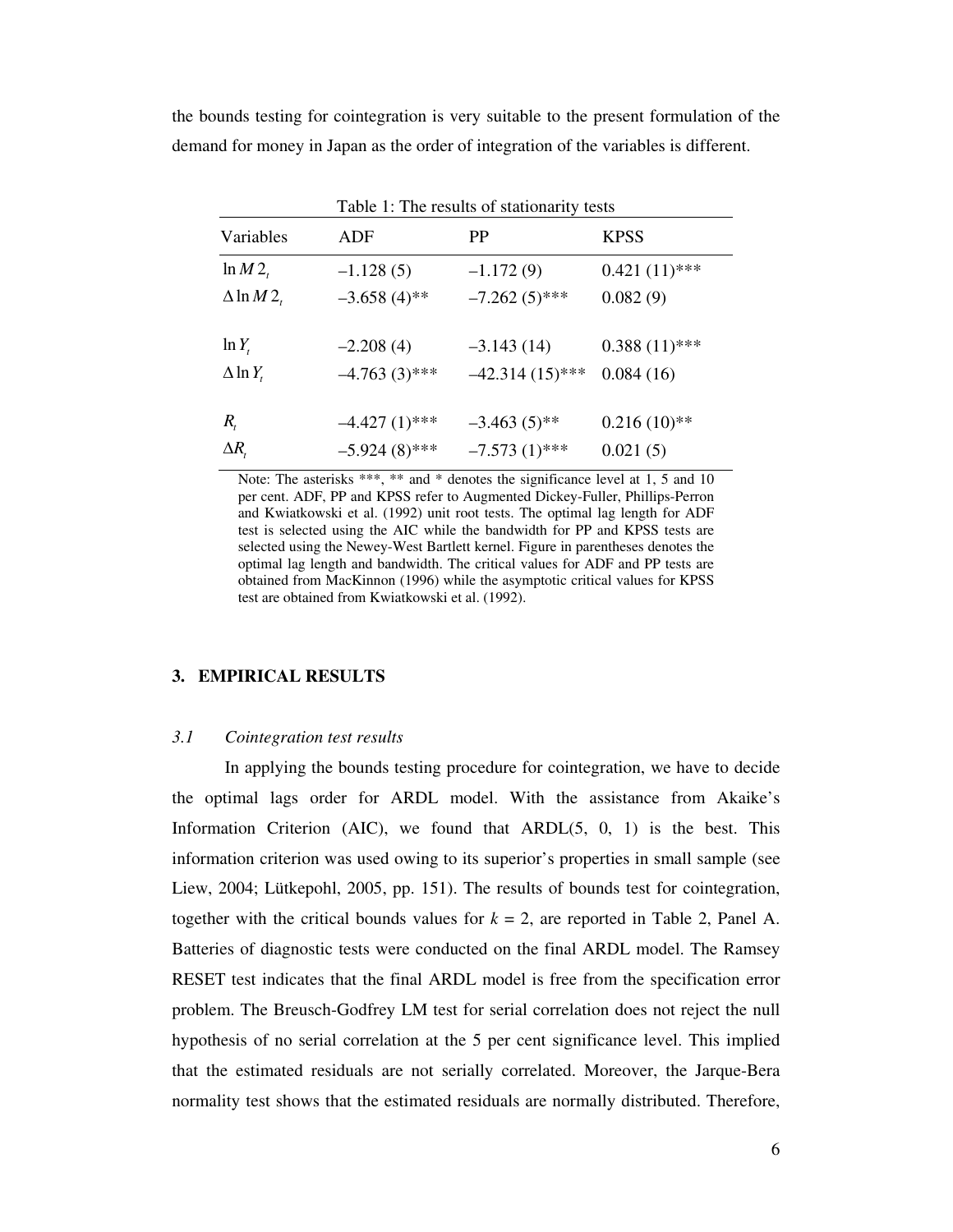the bounds testing for cointegration is very suitable to the present formulation of the demand for money in Japan as the order of integration of the variables is different.

| Table 1: The results of stationarity tests |                 |                   |                 |
|--------------------------------------------|-----------------|-------------------|-----------------|
| Variables                                  | ADF             | <b>PP</b>         | <b>KPSS</b>     |
| $\ln M2$ ,                                 | $-1.128(5)$     | $-1.172(9)$       | $0.421(11)$ *** |
| $\Delta$ ln M2,                            | $-3.658(4)$ **  | $-7.262(5)$ ***   | 0.082(9)        |
|                                            |                 |                   |                 |
| $\ln Y_t$                                  | $-2.208(4)$     | $-3.143(14)$      | $0.388(11)$ *** |
| $\Delta$ ln $Y_t$                          | $-4.763(3)$ *** | $-42.314(15)$ *** | 0.084(16)       |
|                                            |                 |                   |                 |
| $R_{t}$                                    | $-4.427(1)$ *** | $-3.463(5)$ **    | $0.216(10)*$    |
| $\Delta R_{i}$                             | $-5.924(8)$ *** | $-7.573(1)$ ***   | 0.021(5)        |

Note: The asterisks \*\*\*, \*\* and \* denotes the significance level at 1, 5 and 10 per cent. ADF, PP and KPSS refer to Augmented Dickey-Fuller, Phillips-Perron and Kwiatkowski et al. (1992) unit root tests. The optimal lag length for ADF test is selected using the AIC while the bandwidth for PP and KPSS tests are selected using the Newey-West Bartlett kernel. Figure in parentheses denotes the optimal lag length and bandwidth. The critical values for ADF and PP tests are obtained from MacKinnon (1996) while the asymptotic critical values for KPSS test are obtained from Kwiatkowski et al. (1992).

#### **3. EMPIRICAL RESULTS**

# *3.1 Cointegration test results*

In applying the bounds testing procedure for cointegration, we have to decide the optimal lags order for ARDL model. With the assistance from Akaike's Information Criterion (AIC), we found that  $ARDL(5, 0, 1)$  is the best. This information criterion was used owing to its superior's properties in small sample (see Liew, 2004; Lütkepohl, 2005, pp. 151). The results of bounds test for cointegration, together with the critical bounds values for  $k = 2$ , are reported in Table 2, Panel A. Batteries of diagnostic tests were conducted on the final ARDL model. The Ramsey RESET test indicates that the final ARDL model is free from the specification error problem. The Breusch-Godfrey LM test for serial correlation does not reject the null hypothesis of no serial correlation at the 5 per cent significance level. This implied that the estimated residuals are not serially correlated. Moreover, the Jarque-Bera normality test shows that the estimated residuals are normally distributed. Therefore,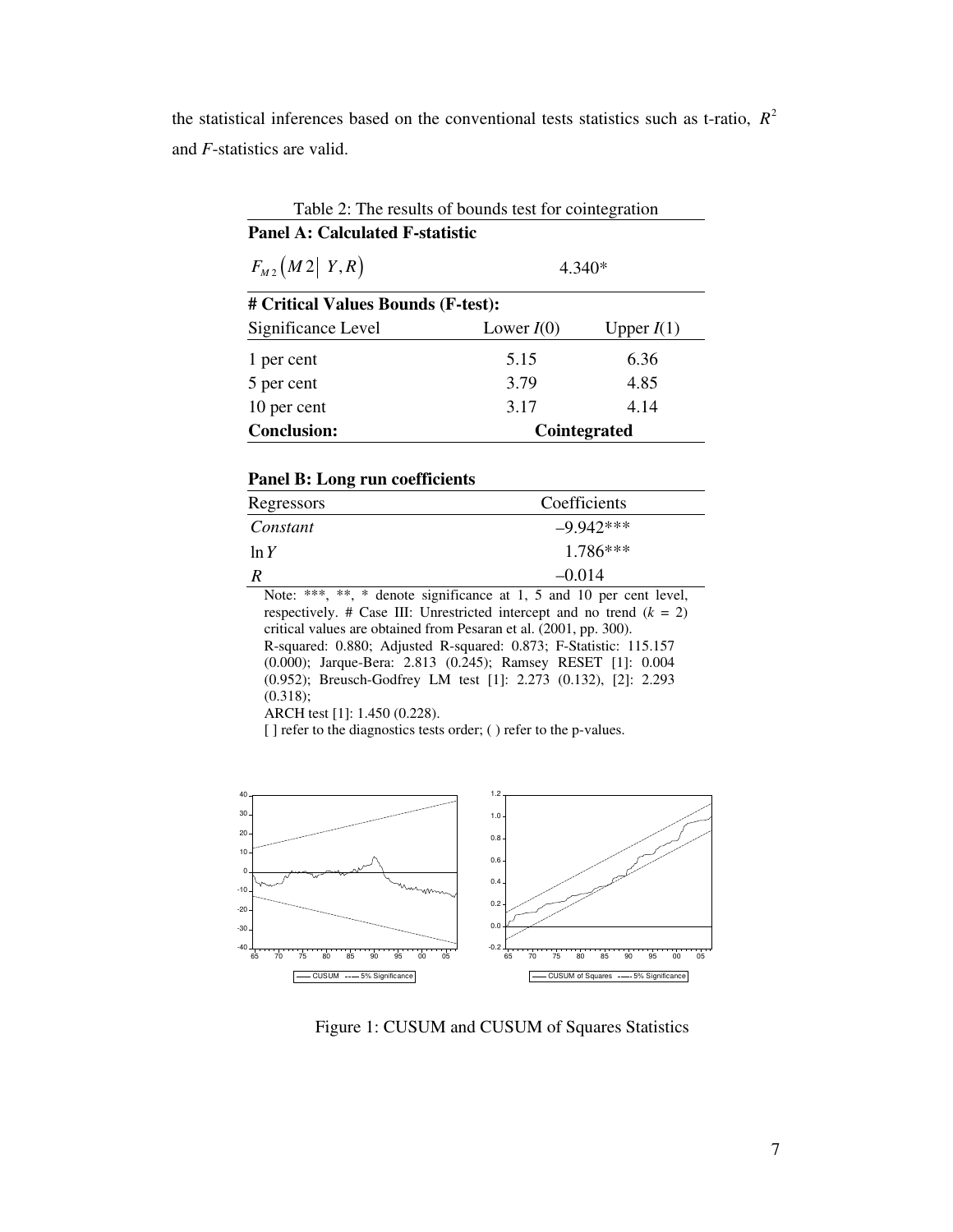the statistical inferences based on the conventional tests statistics such as t-ratio,  $R^2$ and *F*-statistics are valid.

Table 2: The results of bounds test for cointegration **Panel A: Calculated F-statistic**  $F_{M2}(M2|Y,R)$  4.340\* **# Critical Values Bounds (F-test):**  Significance Level Lower *I*(0) Upper *I*(1) 1 per cent 5.15 6.36 5 per cent 3.79 4.85 10 per cent 3.17 4.14 **Conclusion: Cointegrated** 

## **Panel B: Long run coefficients**

| Regressors         | Coefficients                                                        |  |
|--------------------|---------------------------------------------------------------------|--|
| Constant           | $-9.942***$                                                         |  |
| $1.786***$<br>ln Y |                                                                     |  |
|                    | $-0.014$                                                            |  |
|                    | Note: ***, **, * denote significance at 1, 5 and 10 per cent level, |  |

respectively. # Case III: Unrestricted intercept and no trend  $(k = 2)$ critical values are obtained from Pesaran et al. (2001, pp. 300). R-squared: 0.880; Adjusted R-squared: 0.873; F-Statistic: 115.157 (0.000); Jarque-Bera: 2.813 (0.245); Ramsey RESET [1]: 0.004 (0.952); Breusch-Godfrey LM test [1]: 2.273 (0.132), [2]: 2.293  $(0.318);$ 

ARCH test [1]: 1.450 (0.228).

[] refer to the diagnostics tests order; ( ) refer to the p-values.



Figure 1: CUSUM and CUSUM of Squares Statistics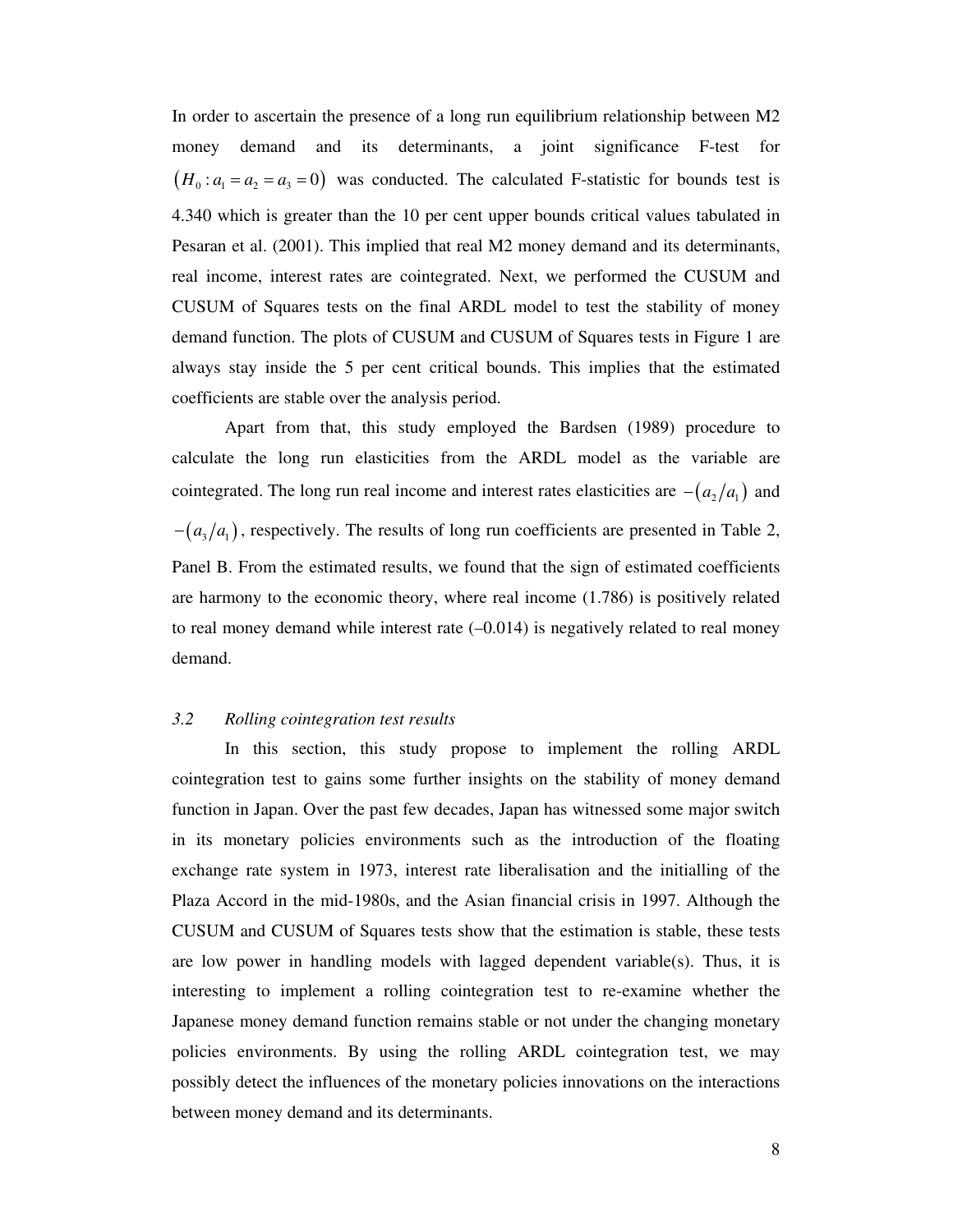In order to ascertain the presence of a long run equilibrium relationship between M2 money demand and its determinants, a joint significance F-test for  $(H_0: a_1 = a_2 = a_3 = 0)$  was conducted. The calculated F-statistic for bounds test is 4.340 which is greater than the 10 per cent upper bounds critical values tabulated in Pesaran et al. (2001). This implied that real M2 money demand and its determinants, real income, interest rates are cointegrated. Next, we performed the CUSUM and CUSUM of Squares tests on the final ARDL model to test the stability of money demand function. The plots of CUSUM and CUSUM of Squares tests in Figure 1 are always stay inside the 5 per cent critical bounds. This implies that the estimated coefficients are stable over the analysis period.

Apart from that, this study employed the Bardsen (1989) procedure to calculate the long run elasticities from the ARDL model as the variable are cointegrated. The long run real income and interest rates elasticities are  $-(a_2/a_1)$  and  $- (a_3/a_1)$ , respectively. The results of long run coefficients are presented in Table 2, Panel B. From the estimated results, we found that the sign of estimated coefficients are harmony to the economic theory, where real income (1.786) is positively related to real money demand while interest rate  $(-0.014)$  is negatively related to real money demand.

# *3.2 Rolling cointegration test results*

In this section, this study propose to implement the rolling ARDL cointegration test to gains some further insights on the stability of money demand function in Japan. Over the past few decades, Japan has witnessed some major switch in its monetary policies environments such as the introduction of the floating exchange rate system in 1973, interest rate liberalisation and the initialling of the Plaza Accord in the mid-1980s, and the Asian financial crisis in 1997. Although the CUSUM and CUSUM of Squares tests show that the estimation is stable, these tests are low power in handling models with lagged dependent variable(s). Thus, it is interesting to implement a rolling cointegration test to re-examine whether the Japanese money demand function remains stable or not under the changing monetary policies environments. By using the rolling ARDL cointegration test, we may possibly detect the influences of the monetary policies innovations on the interactions between money demand and its determinants.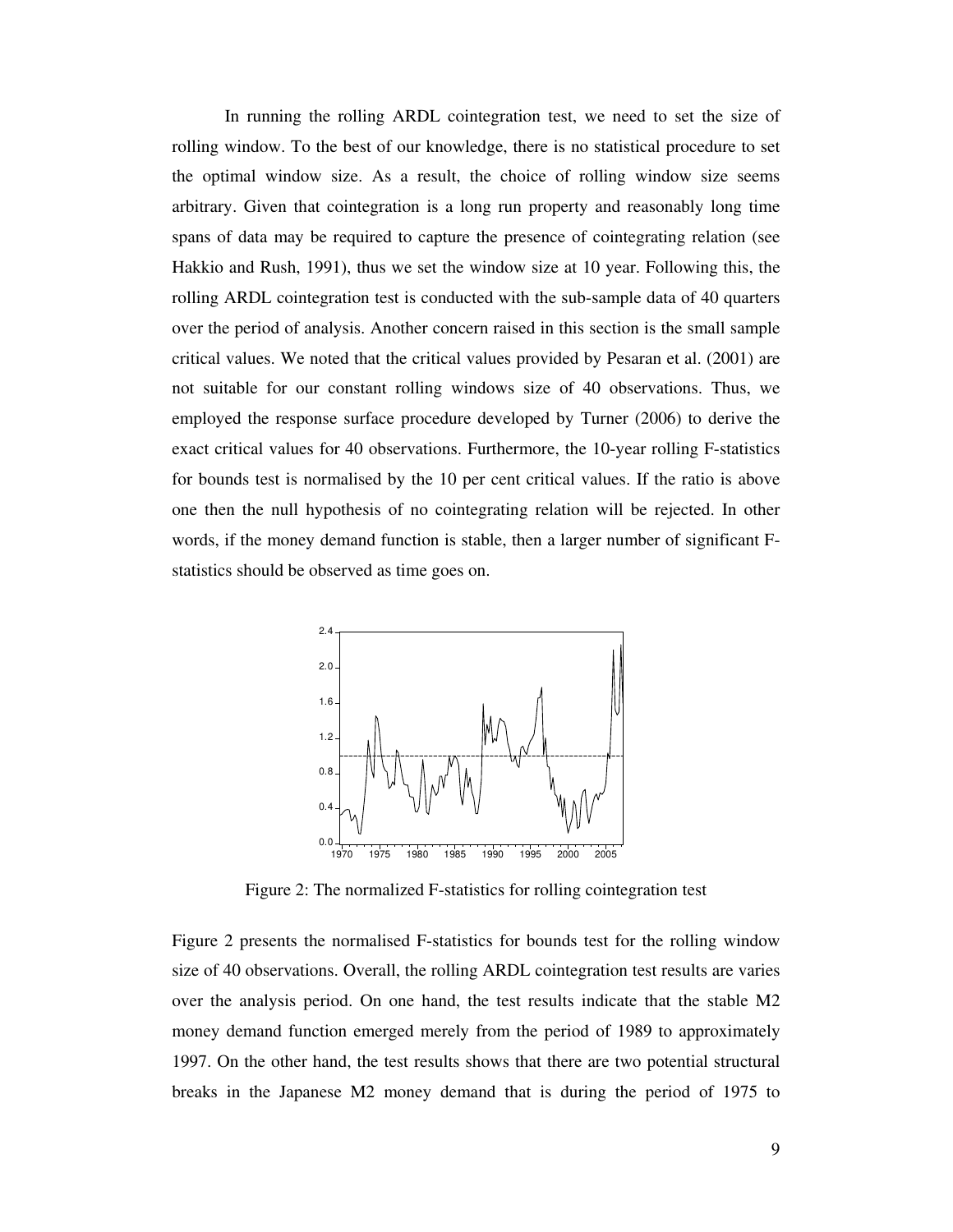In running the rolling ARDL cointegration test, we need to set the size of rolling window. To the best of our knowledge, there is no statistical procedure to set the optimal window size. As a result, the choice of rolling window size seems arbitrary. Given that cointegration is a long run property and reasonably long time spans of data may be required to capture the presence of cointegrating relation (see Hakkio and Rush, 1991), thus we set the window size at 10 year. Following this, the rolling ARDL cointegration test is conducted with the sub-sample data of 40 quarters over the period of analysis. Another concern raised in this section is the small sample critical values. We noted that the critical values provided by Pesaran et al. (2001) are not suitable for our constant rolling windows size of 40 observations. Thus, we employed the response surface procedure developed by Turner (2006) to derive the exact critical values for 40 observations. Furthermore, the 10-year rolling F-statistics for bounds test is normalised by the 10 per cent critical values. If the ratio is above one then the null hypothesis of no cointegrating relation will be rejected. In other words, if the money demand function is stable, then a larger number of significant Fstatistics should be observed as time goes on.



Figure 2: The normalized F-statistics for rolling cointegration test

Figure 2 presents the normalised F-statistics for bounds test for the rolling window size of 40 observations. Overall, the rolling ARDL cointegration test results are varies over the analysis period. On one hand, the test results indicate that the stable M2 money demand function emerged merely from the period of 1989 to approximately 1997. On the other hand, the test results shows that there are two potential structural breaks in the Japanese M2 money demand that is during the period of 1975 to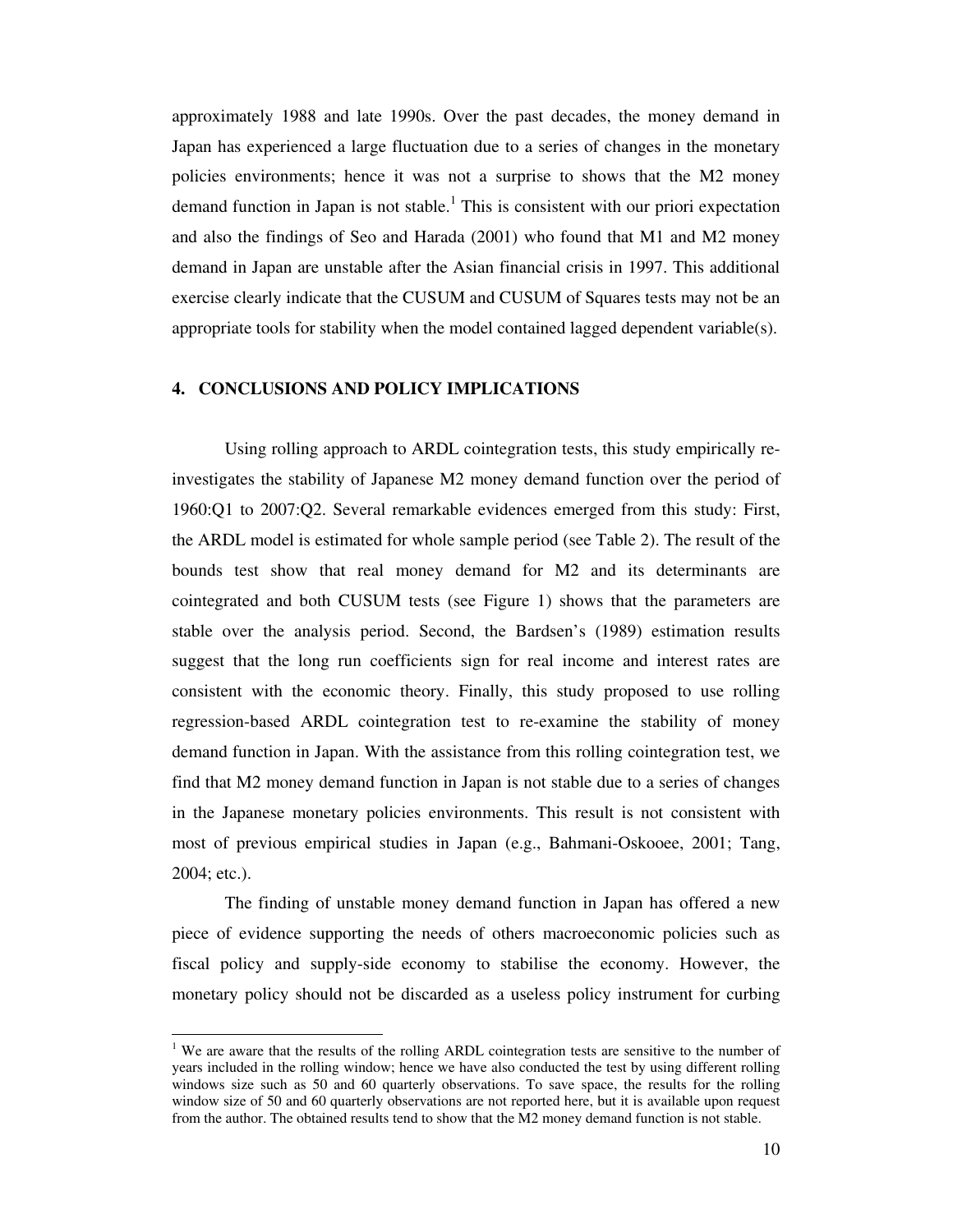approximately 1988 and late 1990s. Over the past decades, the money demand in Japan has experienced a large fluctuation due to a series of changes in the monetary policies environments; hence it was not a surprise to shows that the M2 money demand function in Japan is not stable.<sup>1</sup> This is consistent with our priori expectation and also the findings of Seo and Harada (2001) who found that M1 and M2 money demand in Japan are unstable after the Asian financial crisis in 1997. This additional exercise clearly indicate that the CUSUM and CUSUM of Squares tests may not be an appropriate tools for stability when the model contained lagged dependent variable(s).

#### **4. CONCLUSIONS AND POLICY IMPLICATIONS**

Using rolling approach to ARDL cointegration tests, this study empirically reinvestigates the stability of Japanese M2 money demand function over the period of 1960:Q1 to 2007:Q2. Several remarkable evidences emerged from this study: First, the ARDL model is estimated for whole sample period (see Table 2). The result of the bounds test show that real money demand for M2 and its determinants are cointegrated and both CUSUM tests (see Figure 1) shows that the parameters are stable over the analysis period. Second, the Bardsen's (1989) estimation results suggest that the long run coefficients sign for real income and interest rates are consistent with the economic theory. Finally, this study proposed to use rolling regression-based ARDL cointegration test to re-examine the stability of money demand function in Japan. With the assistance from this rolling cointegration test, we find that M2 money demand function in Japan is not stable due to a series of changes in the Japanese monetary policies environments. This result is not consistent with most of previous empirical studies in Japan (e.g., Bahmani-Oskooee, 2001; Tang, 2004; etc.).

The finding of unstable money demand function in Japan has offered a new piece of evidence supporting the needs of others macroeconomic policies such as fiscal policy and supply-side economy to stabilise the economy. However, the monetary policy should not be discarded as a useless policy instrument for curbing

 $\ddot{ }$ 

<sup>&</sup>lt;sup>1</sup> We are aware that the results of the rolling ARDL cointegration tests are sensitive to the number of years included in the rolling window; hence we have also conducted the test by using different rolling windows size such as 50 and 60 quarterly observations. To save space, the results for the rolling window size of 50 and 60 quarterly observations are not reported here, but it is available upon request from the author. The obtained results tend to show that the M2 money demand function is not stable.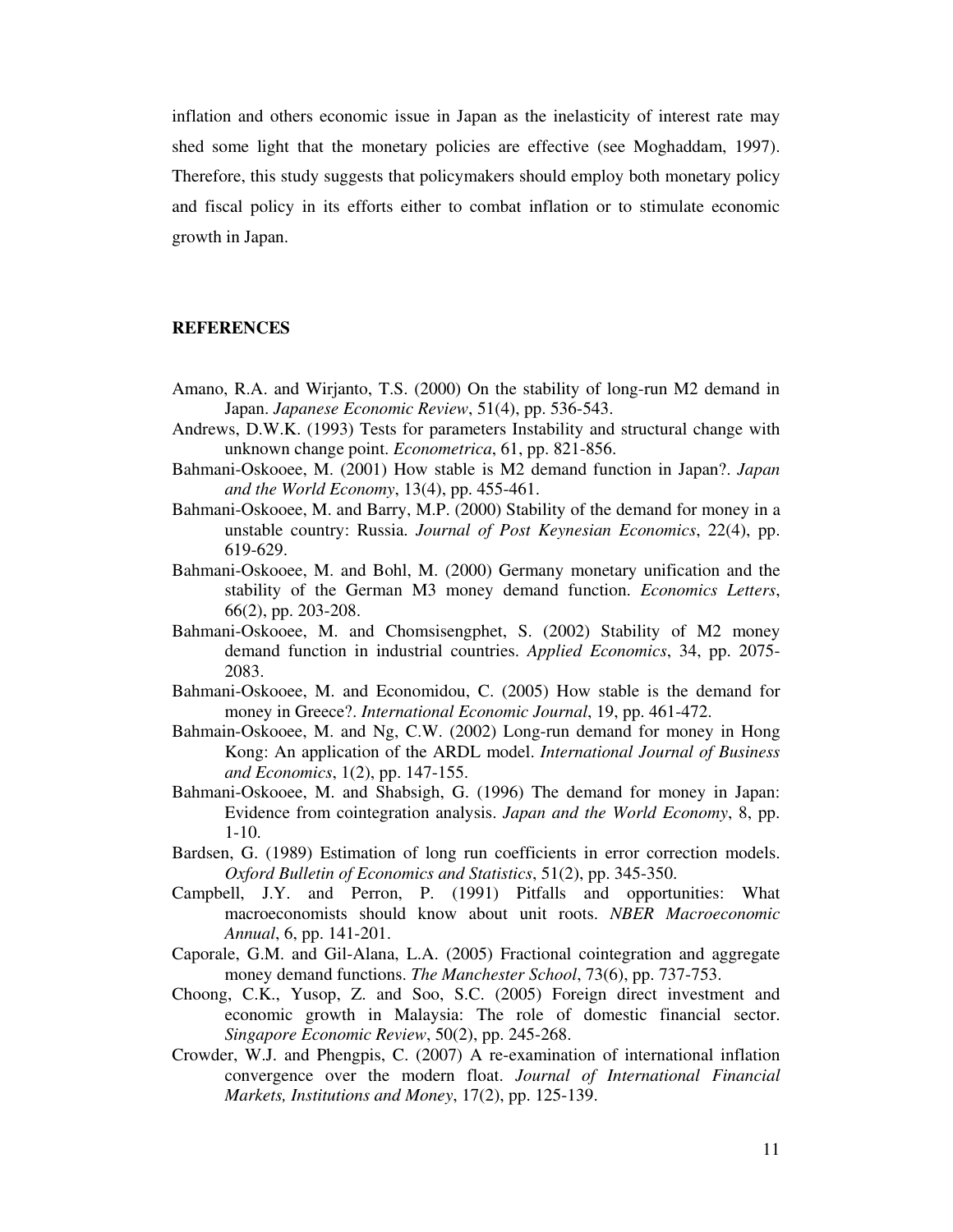inflation and others economic issue in Japan as the inelasticity of interest rate may shed some light that the monetary policies are effective (see Moghaddam, 1997). Therefore, this study suggests that policymakers should employ both monetary policy and fiscal policy in its efforts either to combat inflation or to stimulate economic growth in Japan.

### **REFERENCES**

- Amano, R.A. and Wirjanto, T.S. (2000) On the stability of long-run M2 demand in Japan. *Japanese Economic Review*, 51(4), pp. 536-543.
- Andrews, D.W.K. (1993) Tests for parameters Instability and structural change with unknown change point. *Econometrica*, 61, pp. 821-856.
- Bahmani-Oskooee, M. (2001) How stable is M2 demand function in Japan?. *Japan and the World Economy*, 13(4), pp. 455-461.
- Bahmani-Oskooee, M. and Barry, M.P. (2000) Stability of the demand for money in a unstable country: Russia. *Journal of Post Keynesian Economics*, 22(4), pp. 619-629.
- Bahmani-Oskooee, M. and Bohl, M. (2000) Germany monetary unification and the stability of the German M3 money demand function. *Economics Letters*, 66(2), pp. 203-208.
- Bahmani-Oskooee, M. and Chomsisengphet, S. (2002) Stability of M2 money demand function in industrial countries. *Applied Economics*, 34, pp. 2075- 2083.
- Bahmani-Oskooee, M. and Economidou, C. (2005) How stable is the demand for money in Greece?. *International Economic Journal*, 19, pp. 461-472.
- Bahmain-Oskooee, M. and Ng, C.W. (2002) Long-run demand for money in Hong Kong: An application of the ARDL model. *International Journal of Business and Economics*, 1(2), pp. 147-155.
- Bahmani-Oskooee, M. and Shabsigh, G. (1996) The demand for money in Japan: Evidence from cointegration analysis. *Japan and the World Economy*, 8, pp. 1-10.
- Bardsen, G. (1989) Estimation of long run coefficients in error correction models. *Oxford Bulletin of Economics and Statistics*, 51(2), pp. 345-350.
- Campbell, J.Y. and Perron, P. (1991) Pitfalls and opportunities: What macroeconomists should know about unit roots. *NBER Macroeconomic Annual*, 6, pp. 141-201.
- Caporale, G.M. and Gil-Alana, L.A. (2005) Fractional cointegration and aggregate money demand functions. *The Manchester School*, 73(6), pp. 737-753.
- Choong, C.K., Yusop, Z. and Soo, S.C. (2005) Foreign direct investment and economic growth in Malaysia: The role of domestic financial sector. *Singapore Economic Review*, 50(2), pp. 245-268.
- Crowder, W.J. and Phengpis, C. (2007) A re-examination of international inflation convergence over the modern float. *Journal of International Financial Markets, Institutions and Money*, 17(2), pp. 125-139.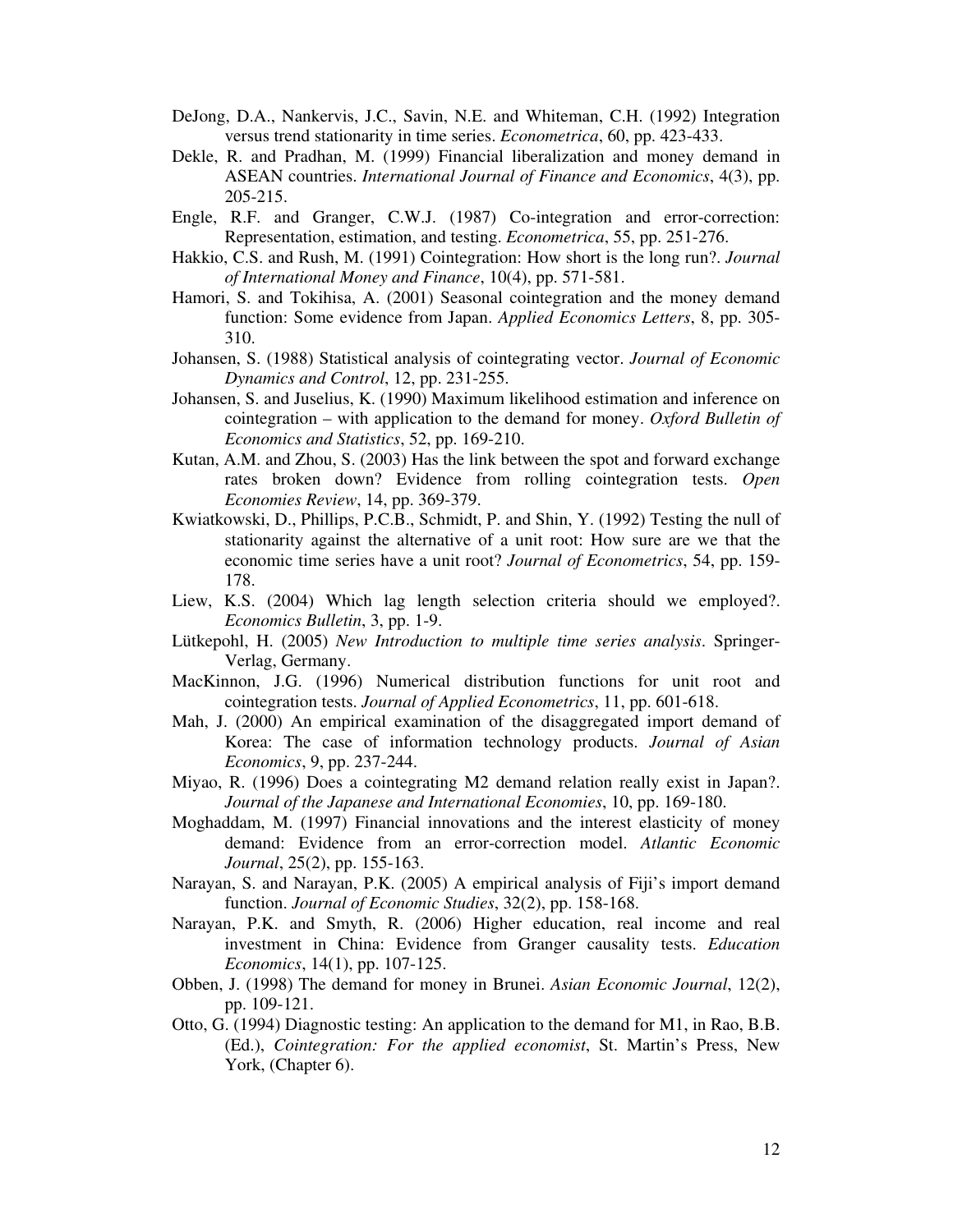- DeJong, D.A., Nankervis, J.C., Savin, N.E. and Whiteman, C.H. (1992) Integration versus trend stationarity in time series. *Econometrica*, 60, pp. 423-433.
- Dekle, R. and Pradhan, M. (1999) Financial liberalization and money demand in ASEAN countries. *International Journal of Finance and Economics*, 4(3), pp. 205-215.
- Engle, R.F. and Granger, C.W.J. (1987) Co-integration and error-correction: Representation, estimation, and testing. *Econometrica*, 55, pp. 251-276.
- Hakkio, C.S. and Rush, M. (1991) Cointegration: How short is the long run?. *Journal of International Money and Finance*, 10(4), pp. 571-581.
- Hamori, S. and Tokihisa, A. (2001) Seasonal cointegration and the money demand function: Some evidence from Japan. *Applied Economics Letters*, 8, pp. 305- 310.
- Johansen, S. (1988) Statistical analysis of cointegrating vector. *Journal of Economic Dynamics and Control*, 12, pp. 231-255.
- Johansen, S. and Juselius, K. (1990) Maximum likelihood estimation and inference on cointegration – with application to the demand for money. *Oxford Bulletin of Economics and Statistics*, 52, pp. 169-210.
- Kutan, A.M. and Zhou, S. (2003) Has the link between the spot and forward exchange rates broken down? Evidence from rolling cointegration tests. *Open Economies Review*, 14, pp. 369-379.
- Kwiatkowski, D., Phillips, P.C.B., Schmidt, P. and Shin, Y. (1992) Testing the null of stationarity against the alternative of a unit root: How sure are we that the economic time series have a unit root? *Journal of Econometrics*, 54, pp. 159- 178.
- Liew, K.S. (2004) Which lag length selection criteria should we employed?. *Economics Bulletin*, 3, pp. 1-9.
- Lütkepohl, H. (2005) *New Introduction to multiple time series analysis*. Springer-Verlag, Germany.
- MacKinnon, J.G. (1996) Numerical distribution functions for unit root and cointegration tests. *Journal of Applied Econometrics*, 11, pp. 601-618.
- Mah, J. (2000) An empirical examination of the disaggregated import demand of Korea: The case of information technology products. *Journal of Asian Economics*, 9, pp. 237-244.
- Miyao, R. (1996) Does a cointegrating M2 demand relation really exist in Japan?. *Journal of the Japanese and International Economies*, 10, pp. 169-180.
- Moghaddam, M. (1997) Financial innovations and the interest elasticity of money demand: Evidence from an error-correction model. *Atlantic Economic Journal*, 25(2), pp. 155-163.
- Narayan, S. and Narayan, P.K. (2005) A empirical analysis of Fiji's import demand function. *Journal of Economic Studies*, 32(2), pp. 158-168.
- Narayan, P.K. and Smyth, R. (2006) Higher education, real income and real investment in China: Evidence from Granger causality tests. *Education Economics*, 14(1), pp. 107-125.
- Obben, J. (1998) The demand for money in Brunei. *Asian Economic Journal*, 12(2), pp. 109-121.
- Otto, G. (1994) Diagnostic testing: An application to the demand for M1, in Rao, B.B. (Ed.), *Cointegration: For the applied economist*, St. Martin's Press, New York, (Chapter 6).